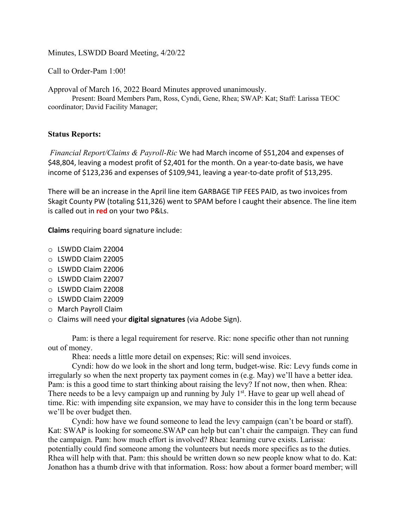Minutes, LSWDD Board Meeting, 4/20/22

Call to Order-Pam 1:00!

Approval of March 16, 2022 Board Minutes approved unanimously.

Present: Board Members Pam, Ross, Cyndi, Gene, Rhea; SWAP: Kat; Staff: Larissa TEOC coordinator; David Facility Manager;

# **Status Reports:**

*Financial Report/Claims & Payroll-Ric* We had March income of \$51,204 and expenses of \$48,804, leaving a modest profit of \$2,401 for the month. On a year-to-date basis, we have income of \$123,236 and expenses of \$109,941, leaving a year-to-date profit of \$13,295.

There will be an increase in the April line item GARBAGE TIP FEES PAID, as two invoices from Skagit County PW (totaling \$11,326) went to SPAM before I caught their absence. The line item is called out in **red** on your two P&Ls.

**Claims** requiring board signature include:

- o LSWDD Claim 22004
- o LSWDD Claim 22005
- o LSWDD Claim 22006
- o LSWDD Claim 22007
- o LSWDD Claim 22008
- o LSWDD Claim 22009
- o March Payroll Claim
- o Claims will need your **digital signatures** (via Adobe Sign).

Pam: is there a legal requirement for reserve. Ric: none specific other than not running out of money.

Rhea: needs a little more detail on expenses; Ric: will send invoices.

Cyndi: how do we look in the short and long term, budget-wise. Ric: Levy funds come in irregularly so when the next property tax payment comes in (e.g. May) we'll have a better idea. Pam: is this a good time to start thinking about raising the levy? If not now, then when. Rhea: There needs to be a levy campaign up and running by July  $1<sup>st</sup>$ . Have to gear up well ahead of time. Ric: with impending site expansion, we may have to consider this in the long term because we'll be over budget then.

Cyndi: how have we found someone to lead the levy campaign (can't be board or staff). Kat: SWAP is looking for someone. SWAP can help but can't chair the campaign. They can fund the campaign. Pam: how much effort is involved? Rhea: learning curve exists. Larissa: potentially could find someone among the volunteers but needs more specifics as to the duties. Rhea will help with that. Pam: this should be written down so new people know what to do. Kat: Jonathon has a thumb drive with that information. Ross: how about a former board member; will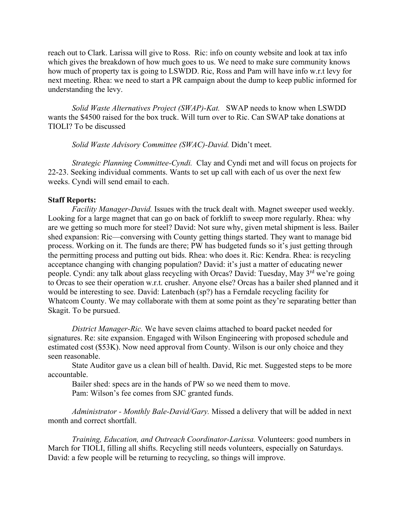reach out to Clark. Larissa will give to Ross. Ric: info on county website and look at tax info which gives the breakdown of how much goes to us. We need to make sure community knows how much of property tax is going to LSWDD. Ric, Ross and Pam will have info w.r.t levy for next meeting. Rhea: we need to start a PR campaign about the dump to keep public informed for understanding the levy.

*Solid Waste Alternatives Project (SWAP)-Kat.* SWAP needs to know when LSWDD wants the \$4500 raised for the box truck. Will turn over to Ric. Can SWAP take donations at TIOLI? To be discussed

*Solid Waste Advisory Committee (SWAC)-David.* Didn't meet.

*Strategic Planning Committee-Cyndi.* Clay and Cyndi met and will focus on projects for 22-23. Seeking individual comments. Wants to set up call with each of us over the next few weeks. Cyndi will send email to each.

## **Staff Reports:**

*Facility Manager-David.* Issues with the truck dealt with. Magnet sweeper used weekly. Looking for a large magnet that can go on back of forklift to sweep more regularly. Rhea: why are we getting so much more for steel? David: Not sure why, given metal shipment is less. Bailer shed expansion: Ric—conversing with County getting things started. They want to manage bid process. Working on it. The funds are there; PW has budgeted funds so it's just getting through the permitting process and putting out bids. Rhea: who does it. Ric: Kendra. Rhea: is recycling acceptance changing with changing population? David: it's just a matter of educating newer people. Cyndi: any talk about glass recycling with Orcas? David: Tuesday, May 3<sup>rd</sup> we're going to Orcas to see their operation w.r.t. crusher. Anyone else? Orcas has a bailer shed planned and it would be interesting to see. David: Latenbach (sp?) has a Ferndale recycling facility for Whatcom County. We may collaborate with them at some point as they're separating better than Skagit. To be pursued.

*District Manager-Ric.* We have seven claims attached to board packet needed for signatures. Re: site expansion. Engaged with Wilson Engineering with proposed schedule and estimated cost (\$53K). Now need approval from County. Wilson is our only choice and they seen reasonable.

State Auditor gave us a clean bill of health. David, Ric met. Suggested steps to be more accountable.

Bailer shed: specs are in the hands of PW so we need them to move. Pam: Wilson's fee comes from SJC granted funds.

*Administrator - Monthly Bale-David/Gary.* Missed a delivery that will be added in next month and correct shortfall.

*Training, Education, and Outreach Coordinator-Larissa.* Volunteers: good numbers in March for TIOLI, filling all shifts. Recycling still needs volunteers, especially on Saturdays. David: a few people will be returning to recycling, so things will improve.